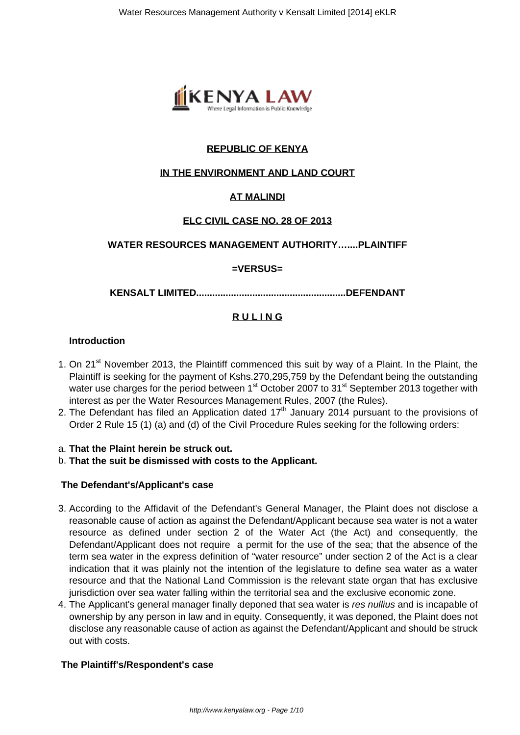

# **REPUBLIC OF KENYA**

#### **IN THE ENVIRONMENT AND LAND COURT**

# **AT MALINDI**

# **ELC CIVIL CASE NO. 28 OF 2013**

# **WATER RESOURCES MANAGEMENT AUTHORITY…....PLAINTIFF**

#### **=VERSUS=**

**KENSALT LIMITED........................................................DEFENDANT**

#### **R U L I N G**

#### **Introduction**

- 1. On 21<sup>st</sup> November 2013, the Plaintiff commenced this suit by way of a Plaint. In the Plaint, the Plaintiff is seeking for the payment of Kshs.270,295,759 by the Defendant being the outstanding water use charges for the period between 1<sup>st</sup> October 2007 to 31<sup>st</sup> September 2013 together with interest as per the Water Resources Management Rules, 2007 (the Rules).
- 2. The Defendant has filed an Application dated  $17<sup>th</sup>$  January 2014 pursuant to the provisions of Order 2 Rule 15 (1) (a) and (d) of the Civil Procedure Rules seeking for the following orders:

#### a. **That the Plaint herein be struck out.**

b. **That the suit be dismissed with costs to the Applicant.**

#### **The Defendant's/Applicant's case**

- 3. According to the Affidavit of the Defendant's General Manager, the Plaint does not disclose a reasonable cause of action as against the Defendant/Applicant because sea water is not a water resource as defined under section 2 of the Water Act (the Act) and consequently, the Defendant/Applicant does not require a permit for the use of the sea; that the absence of the term sea water in the express definition of "water resource" under section 2 of the Act is a clear indication that it was plainly not the intention of the legislature to define sea water as a water resource and that the National Land Commission is the relevant state organ that has exclusive jurisdiction over sea water falling within the territorial sea and the exclusive economic zone.
- 4. The Applicant's general manager finally deponed that sea water is res nullius and is incapable of ownership by any person in law and in equity. Consequently, it was deponed, the Plaint does not disclose any reasonable cause of action as against the Defendant/Applicant and should be struck out with costs.

#### **The Plaintiff's/Respondent's case**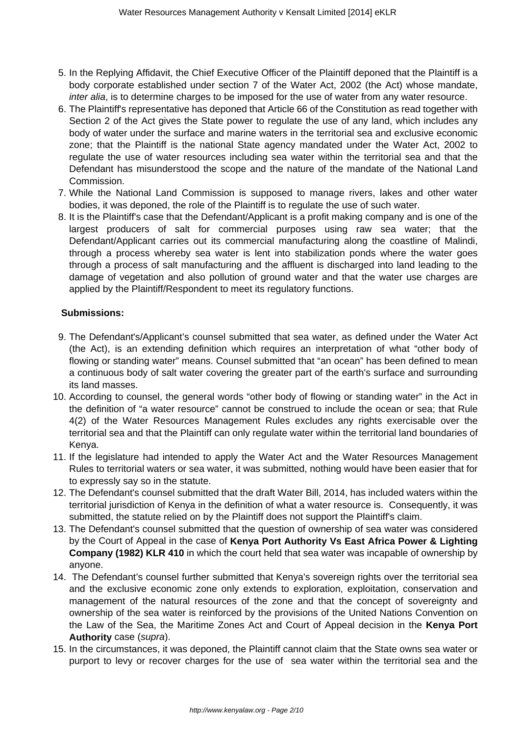- 5. In the Replying Affidavit, the Chief Executive Officer of the Plaintiff deponed that the Plaintiff is a body corporate established under section 7 of the Water Act, 2002 (the Act) whose mandate, inter alia, is to determine charges to be imposed for the use of water from any water resource.
- 6. The Plaintiff's representative has deponed that Article 66 of the Constitution as read together with Section 2 of the Act gives the State power to regulate the use of any land, which includes any body of water under the surface and marine waters in the territorial sea and exclusive economic zone; that the Plaintiff is the national State agency mandated under the Water Act, 2002 to regulate the use of water resources including sea water within the territorial sea and that the Defendant has misunderstood the scope and the nature of the mandate of the National Land Commission.
- 7. While the National Land Commission is supposed to manage rivers, lakes and other water bodies, it was deponed, the role of the Plaintiff is to regulate the use of such water.
- 8. It is the Plaintiff's case that the Defendant/Applicant is a profit making company and is one of the largest producers of salt for commercial purposes using raw sea water; that the Defendant/Applicant carries out its commercial manufacturing along the coastline of Malindi, through a process whereby sea water is lent into stabilization ponds where the water goes through a process of salt manufacturing and the affluent is discharged into land leading to the damage of vegetation and also pollution of ground water and that the water use charges are applied by the Plaintiff/Respondent to meet its regulatory functions.

# **Submissions:**

- 9. The Defendant's/Applicant's counsel submitted that sea water, as defined under the Water Act (the Act), is an extending definition which requires an interpretation of what "other body of flowing or standing water" means. Counsel submitted that "an ocean" has been defined to mean a continuous body of salt water covering the greater part of the earth's surface and surrounding its land masses.
- 10. According to counsel, the general words "other body of flowing or standing water" in the Act in the definition of "a water resource" cannot be construed to include the ocean or sea; that Rule 4(2) of the Water Resources Management Rules excludes any rights exercisable over the territorial sea and that the Plaintiff can only regulate water within the territorial land boundaries of Kenya.
- 11. If the legislature had intended to apply the Water Act and the Water Resources Management Rules to territorial waters or sea water, it was submitted, nothing would have been easier that for to expressly say so in the statute.
- 12. The Defendant's counsel submitted that the draft Water Bill, 2014, has included waters within the territorial jurisdiction of Kenya in the definition of what a water resource is. Consequently, it was submitted, the statute relied on by the Plaintiff does not support the Plaintiff's claim.
- 13. The Defendant's counsel submitted that the question of ownership of sea water was considered by the Court of Appeal in the case of **Kenya Port Authority Vs East Africa Power & Lighting Company (1982) KLR 410** in which the court held that sea water was incapable of ownership by anyone.
- 14. The Defendant's counsel further submitted that Kenya's sovereign rights over the territorial sea and the exclusive economic zone only extends to exploration, exploitation, conservation and management of the natural resources of the zone and that the concept of sovereignty and ownership of the sea water is reinforced by the provisions of the United Nations Convention on the Law of the Sea, the Maritime Zones Act and Court of Appeal decision in the **Kenya Port Authority** case (supra).
- 15. In the circumstances, it was deponed, the Plaintiff cannot claim that the State owns sea water or purport to levy or recover charges for the use of sea water within the territorial sea and the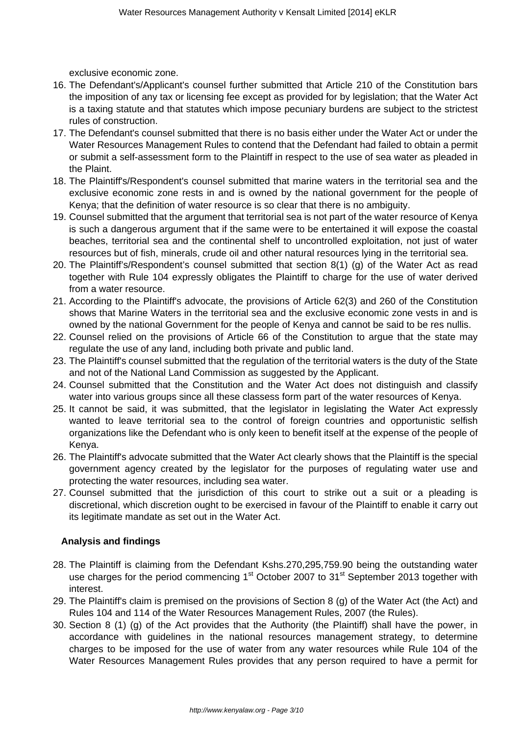exclusive economic zone.

- 16. The Defendant's/Applicant's counsel further submitted that Article 210 of the Constitution bars the imposition of any tax or licensing fee except as provided for by legislation; that the Water Act is a taxing statute and that statutes which impose pecuniary burdens are subject to the strictest rules of construction.
- 17. The Defendant's counsel submitted that there is no basis either under the Water Act or under the Water Resources Management Rules to contend that the Defendant had failed to obtain a permit or submit a self-assessment form to the Plaintiff in respect to the use of sea water as pleaded in the Plaint.
- 18. The Plaintiff's/Respondent's counsel submitted that marine waters in the territorial sea and the exclusive economic zone rests in and is owned by the national government for the people of Kenya; that the definition of water resource is so clear that there is no ambiguity.
- 19. Counsel submitted that the argument that territorial sea is not part of the water resource of Kenya is such a dangerous argument that if the same were to be entertained it will expose the coastal beaches, territorial sea and the continental shelf to uncontrolled exploitation, not just of water resources but of fish, minerals, crude oil and other natural resources lying in the territorial sea.
- 20. The Plaintiff's/Respondent's counsel submitted that section 8(1) (g) of the Water Act as read together with Rule 104 expressly obligates the Plaintiff to charge for the use of water derived from a water resource.
- 21. According to the Plaintiff's advocate, the provisions of Article 62(3) and 260 of the Constitution shows that Marine Waters in the territorial sea and the exclusive economic zone vests in and is owned by the national Government for the people of Kenya and cannot be said to be res nullis.
- 22. Counsel relied on the provisions of Article 66 of the Constitution to argue that the state may regulate the use of any land, including both private and public land.
- 23. The Plaintiff's counsel submitted that the regulation of the territorial waters is the duty of the State and not of the National Land Commission as suggested by the Applicant.
- 24. Counsel submitted that the Constitution and the Water Act does not distinguish and classify water into various groups since all these classess form part of the water resources of Kenya.
- 25. It cannot be said, it was submitted, that the legislator in legislating the Water Act expressly wanted to leave territorial sea to the control of foreign countries and opportunistic selfish organizations like the Defendant who is only keen to benefit itself at the expense of the people of Kenya.
- 26. The Plaintiff's advocate submitted that the Water Act clearly shows that the Plaintiff is the special government agency created by the legislator for the purposes of regulating water use and protecting the water resources, including sea water.
- 27. Counsel submitted that the jurisdiction of this court to strike out a suit or a pleading is discretional, which discretion ought to be exercised in favour of the Plaintiff to enable it carry out its legitimate mandate as set out in the Water Act.

# **Analysis and findings**

- 28. The Plaintiff is claiming from the Defendant Kshs.270,295,759.90 being the outstanding water use charges for the period commencing  $1<sup>st</sup>$  October 2007 to  $31<sup>st</sup>$  September 2013 together with interest.
- 29. The Plaintiff's claim is premised on the provisions of Section 8 (g) of the Water Act (the Act) and Rules 104 and 114 of the Water Resources Management Rules, 2007 (the Rules).
- 30. Section 8 (1) (g) of the Act provides that the Authority (the Plaintiff) shall have the power, in accordance with guidelines in the national resources management strategy, to determine charges to be imposed for the use of water from any water resources while Rule 104 of the Water Resources Management Rules provides that any person required to have a permit for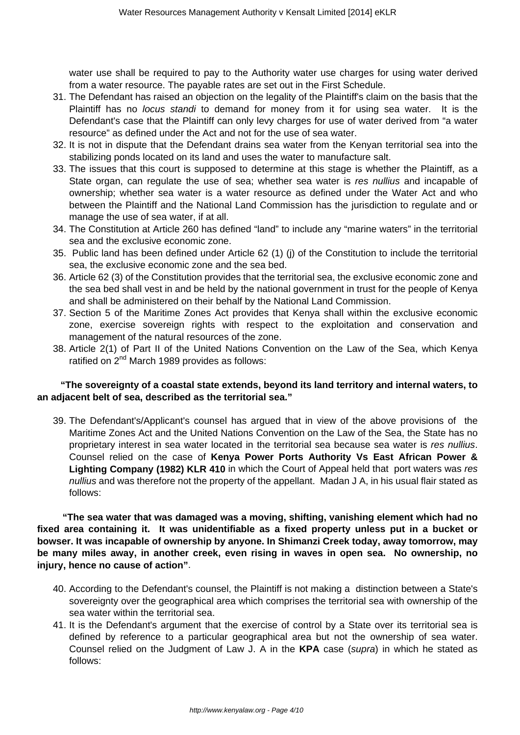water use shall be required to pay to the Authority water use charges for using water derived from a water resource. The payable rates are set out in the First Schedule.

- 31. The Defendant has raised an objection on the legality of the Plaintiff's claim on the basis that the Plaintiff has no locus standi to demand for money from it for using sea water. It is the Defendant's case that the Plaintiff can only levy charges for use of water derived from "a water resource" as defined under the Act and not for the use of sea water.
- 32. It is not in dispute that the Defendant drains sea water from the Kenyan territorial sea into the stabilizing ponds located on its land and uses the water to manufacture salt.
- 33. The issues that this court is supposed to determine at this stage is whether the Plaintiff, as a State organ, can regulate the use of sea; whether sea water is res nullius and incapable of ownership; whether sea water is a water resource as defined under the Water Act and who between the Plaintiff and the National Land Commission has the jurisdiction to regulate and or manage the use of sea water, if at all.
- 34. The Constitution at Article 260 has defined "land" to include any "marine waters" in the territorial sea and the exclusive economic zone.
- 35. Public land has been defined under Article 62 (1) (j) of the Constitution to include the territorial sea, the exclusive economic zone and the sea bed.
- 36. Article 62 (3) of the Constitution provides that the territorial sea, the exclusive economic zone and the sea bed shall vest in and be held by the national government in trust for the people of Kenya and shall be administered on their behalf by the National Land Commission.
- 37. Section 5 of the Maritime Zones Act provides that Kenya shall within the exclusive economic zone, exercise sovereign rights with respect to the exploitation and conservation and management of the natural resources of the zone.
- 38. Article 2(1) of Part II of the United Nations Convention on the Law of the Sea, which Kenya ratified on 2<sup>nd</sup> March 1989 provides as follows:

# **"The sovereignty of a coastal state extends, beyond its land territory and internal waters, to an adjacent belt of sea, described as the territorial sea."**

39. The Defendant's/Applicant's counsel has argued that in view of the above provisions of the Maritime Zones Act and the United Nations Convention on the Law of the Sea, the State has no proprietary interest in sea water located in the territorial sea because sea water is res nullius. Counsel relied on the case of **Kenya Power Ports Authority Vs East African Power & Lighting Company (1982) KLR 410** in which the Court of Appeal held that port waters was res nullius and was therefore not the property of the appellant. Madan J A, in his usual flair stated as follows:

 **"The sea water that was damaged was a moving, shifting, vanishing element which had no fixed area containing it. It was unidentifiable as a fixed property unless put in a bucket or bowser. It was incapable of ownership by anyone. In Shimanzi Creek today, away tomorrow, may be many miles away, in another creek, even rising in waves in open sea. No ownership, no injury, hence no cause of action"**.

- 40. According to the Defendant's counsel, the Plaintiff is not making a distinction between a State's sovereignty over the geographical area which comprises the territorial sea with ownership of the sea water within the territorial sea.
- 41. It is the Defendant's argument that the exercise of control by a State over its territorial sea is defined by reference to a particular geographical area but not the ownership of sea water. Counsel relied on the Judgment of Law J. A in the **KPA** case (supra) in which he stated as follows: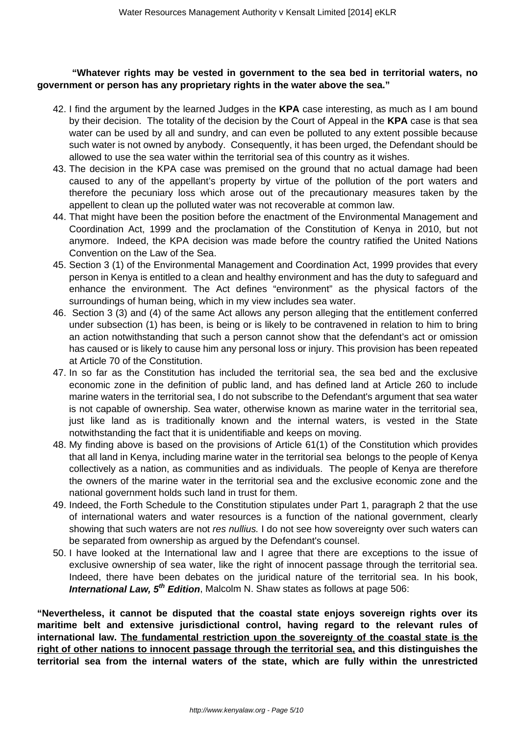### **"Whatever rights may be vested in government to the sea bed in territorial waters, no government or person has any proprietary rights in the water above the sea."**

- 42. I find the argument by the learned Judges in the **KPA** case interesting, as much as I am bound by their decision. The totality of the decision by the Court of Appeal in the **KPA** case is that sea water can be used by all and sundry, and can even be polluted to any extent possible because such water is not owned by anybody. Consequently, it has been urged, the Defendant should be allowed to use the sea water within the territorial sea of this country as it wishes.
- 43. The decision in the KPA case was premised on the ground that no actual damage had been caused to any of the appellant's property by virtue of the pollution of the port waters and therefore the pecuniary loss which arose out of the precautionary measures taken by the appellent to clean up the polluted water was not recoverable at common law.
- 44. That might have been the position before the enactment of the Environmental Management and Coordination Act, 1999 and the proclamation of the Constitution of Kenya in 2010, but not anymore. Indeed, the KPA decision was made before the country ratified the United Nations Convention on the Law of the Sea.
- 45. Section 3 (1) of the Environmental Management and Coordination Act, 1999 provides that every person in Kenya is entitled to a clean and healthy environment and has the duty to safeguard and enhance the environment. The Act defines "environment" as the physical factors of the surroundings of human being, which in my view includes sea water.
- 46. Section 3 (3) and (4) of the same Act allows any person alleging that the entitlement conferred under subsection (1) has been, is being or is likely to be contravened in relation to him to bring an action notwithstanding that such a person cannot show that the defendant's act or omission has caused or is likely to cause him any personal loss or injury. This provision has been repeated at Article 70 of the Constitution.
- 47. In so far as the Constitution has included the territorial sea, the sea bed and the exclusive economic zone in the definition of public land, and has defined land at Article 260 to include marine waters in the territorial sea, I do not subscribe to the Defendant's argument that sea water is not capable of ownership. Sea water, otherwise known as marine water in the territorial sea, just like land as is traditionally known and the internal waters, is vested in the State notwithstanding the fact that it is unidentifiable and keeps on moving.
- 48. My finding above is based on the provisions of Article 61(1) of the Constitution which provides that all land in Kenya, including marine water in the territorial sea belongs to the people of Kenya collectively as a nation, as communities and as individuals. The people of Kenya are therefore the owners of the marine water in the territorial sea and the exclusive economic zone and the national government holds such land in trust for them.
- 49. Indeed, the Forth Schedule to the Constitution stipulates under Part 1, paragraph 2 that the use of international waters and water resources is a function of the national government, clearly showing that such waters are not res nullius. I do not see how sovereignty over such waters can be separated from ownership as argued by the Defendant's counsel.
- 50. I have looked at the International law and I agree that there are exceptions to the issue of exclusive ownership of sea water, like the right of innocent passage through the territorial sea. Indeed, there have been debates on the juridical nature of the territorial sea. In his book, **International Law, 5<sup>th</sup> Edition**, Malcolm N. Shaw states as follows at page 506:

**"Nevertheless, it cannot be disputed that the coastal state enjoys sovereign rights over its maritime belt and extensive jurisdictional control, having regard to the relevant rules of international law. The fundamental restriction upon the sovereignty of the coastal state is the right of other nations to innocent passage through the territorial sea, and this distinguishes the territorial sea from the internal waters of the state, which are fully within the unrestricted**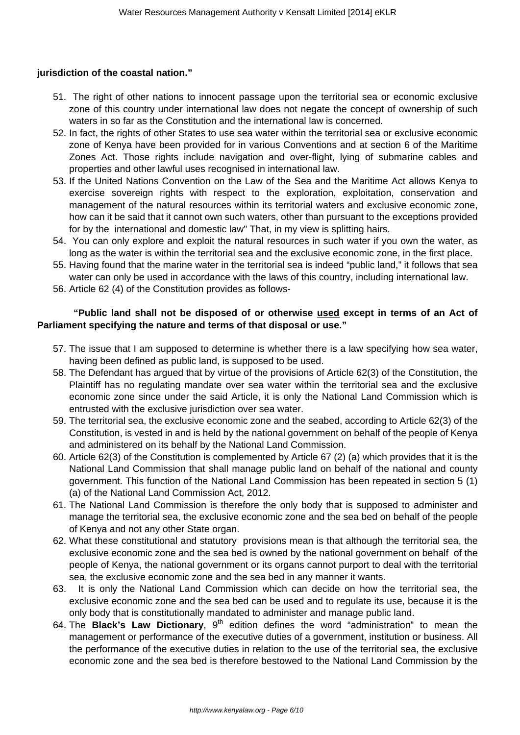# **jurisdiction of the coastal nation."**

- 51. The right of other nations to innocent passage upon the territorial sea or economic exclusive zone of this country under international law does not negate the concept of ownership of such waters in so far as the Constitution and the international law is concerned.
- 52. In fact, the rights of other States to use sea water within the territorial sea or exclusive economic zone of Kenya have been provided for in various Conventions and at section 6 of the Maritime Zones Act. Those rights include navigation and over-flight, lying of submarine cables and properties and other lawful uses recognised in international law.
- 53. If the United Nations Convention on the Law of the Sea and the Maritime Act allows Kenya to exercise sovereign rights with respect to the exploration, exploitation, conservation and management of the natural resources within its territorial waters and exclusive economic zone, how can it be said that it cannot own such waters, other than pursuant to the exceptions provided for by the international and domestic law" That, in my view is splitting hairs.
- 54. You can only explore and exploit the natural resources in such water if you own the water, as long as the water is within the territorial sea and the exclusive economic zone, in the first place.
- 55. Having found that the marine water in the territorial sea is indeed "public land," it follows that sea water can only be used in accordance with the laws of this country, including international law.
- 56. Article 62 (4) of the Constitution provides as follows-

# **"Public land shall not be disposed of or otherwise used except in terms of an Act of Parliament specifying the nature and terms of that disposal or use."**

- 57. The issue that I am supposed to determine is whether there is a law specifying how sea water, having been defined as public land, is supposed to be used.
- 58. The Defendant has argued that by virtue of the provisions of Article 62(3) of the Constitution, the Plaintiff has no regulating mandate over sea water within the territorial sea and the exclusive economic zone since under the said Article, it is only the National Land Commission which is entrusted with the exclusive jurisdiction over sea water.
- 59. The territorial sea, the exclusive economic zone and the seabed, according to Article 62(3) of the Constitution, is vested in and is held by the national government on behalf of the people of Kenya and administered on its behalf by the National Land Commission.
- 60. Article 62(3) of the Constitution is complemented by Article 67 (2) (a) which provides that it is the National Land Commission that shall manage public land on behalf of the national and county government. This function of the National Land Commission has been repeated in section 5 (1) (a) of the National Land Commission Act, 2012.
- 61. The National Land Commission is therefore the only body that is supposed to administer and manage the territorial sea, the exclusive economic zone and the sea bed on behalf of the people of Kenya and not any other State organ.
- 62. What these constitutional and statutory provisions mean is that although the territorial sea, the exclusive economic zone and the sea bed is owned by the national government on behalf of the people of Kenya, the national government or its organs cannot purport to deal with the territorial sea, the exclusive economic zone and the sea bed in any manner it wants.
- 63. It is only the National Land Commission which can decide on how the territorial sea, the exclusive economic zone and the sea bed can be used and to regulate its use, because it is the only body that is constitutionally mandated to administer and manage public land.
- 64. The **Black's Law Dictionary**, 9<sup>th</sup> edition defines the word "administration" to mean the management or performance of the executive duties of a government, institution or business. All the performance of the executive duties in relation to the use of the territorial sea, the exclusive economic zone and the sea bed is therefore bestowed to the National Land Commission by the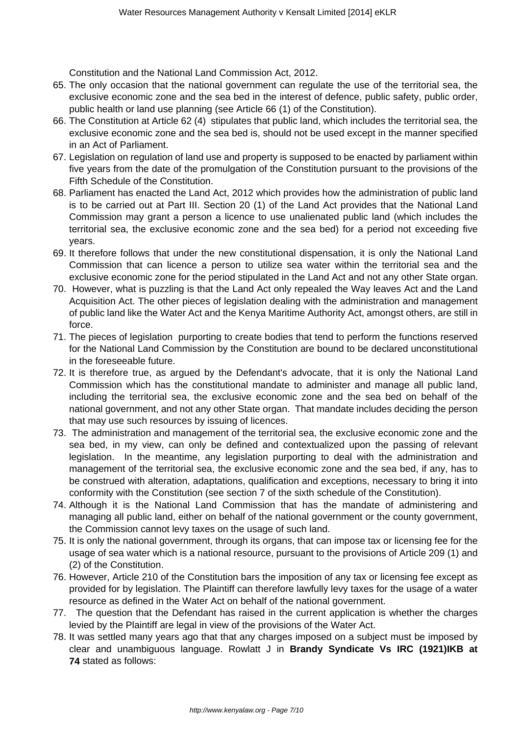Constitution and the National Land Commission Act, 2012.

- 65. The only occasion that the national government can regulate the use of the territorial sea, the exclusive economic zone and the sea bed in the interest of defence, public safety, public order, public health or land use planning (see Article 66 (1) of the Constitution).
- 66. The Constitution at Article 62 (4) stipulates that public land, which includes the territorial sea, the exclusive economic zone and the sea bed is, should not be used except in the manner specified in an Act of Parliament.
- 67. Legislation on regulation of land use and property is supposed to be enacted by parliament within five years from the date of the promulgation of the Constitution pursuant to the provisions of the Fifth Schedule of the Constitution.
- 68. Parliament has enacted the Land Act, 2012 which provides how the administration of public land is to be carried out at Part III. Section 20 (1) of the Land Act provides that the National Land Commission may grant a person a licence to use unalienated public land (which includes the territorial sea, the exclusive economic zone and the sea bed) for a period not exceeding five years.
- 69. It therefore follows that under the new constitutional dispensation, it is only the National Land Commission that can licence a person to utilize sea water within the territorial sea and the exclusive economic zone for the period stipulated in the Land Act and not any other State organ.
- 70. However, what is puzzling is that the Land Act only repealed the Way leaves Act and the Land Acquisition Act. The other pieces of legislation dealing with the administration and management of public land like the Water Act and the Kenya Maritime Authority Act, amongst others, are still in force.
- 71. The pieces of legislation purporting to create bodies that tend to perform the functions reserved for the National Land Commission by the Constitution are bound to be declared unconstitutional in the foreseeable future.
- 72. It is therefore true, as argued by the Defendant's advocate, that it is only the National Land Commission which has the constitutional mandate to administer and manage all public land, including the territorial sea, the exclusive economic zone and the sea bed on behalf of the national government, and not any other State organ. That mandate includes deciding the person that may use such resources by issuing of licences.
- 73. The administration and management of the territorial sea, the exclusive economic zone and the sea bed, in my view, can only be defined and contextualized upon the passing of relevant legislation. In the meantime, any legislation purporting to deal with the administration and management of the territorial sea, the exclusive economic zone and the sea bed, if any, has to be construed with alteration, adaptations, qualification and exceptions, necessary to bring it into conformity with the Constitution (see section 7 of the sixth schedule of the Constitution).
- 74. Although it is the National Land Commission that has the mandate of administering and managing all public land, either on behalf of the national government or the county government, the Commission cannot levy taxes on the usage of such land.
- 75. It is only the national government, through its organs, that can impose tax or licensing fee for the usage of sea water which is a national resource, pursuant to the provisions of Article 209 (1) and (2) of the Constitution.
- 76. However, Article 210 of the Constitution bars the imposition of any tax or licensing fee except as provided for by legislation. The Plaintiff can therefore lawfully levy taxes for the usage of a water resource as defined in the Water Act on behalf of the national government.
- 77. The question that the Defendant has raised in the current application is whether the charges levied by the Plaintiff are legal in view of the provisions of the Water Act.
- 78. It was settled many years ago that that any charges imposed on a subject must be imposed by clear and unambiguous language. Rowlatt J in **Brandy Syndicate Vs IRC (1921)IKB at 74** stated as follows: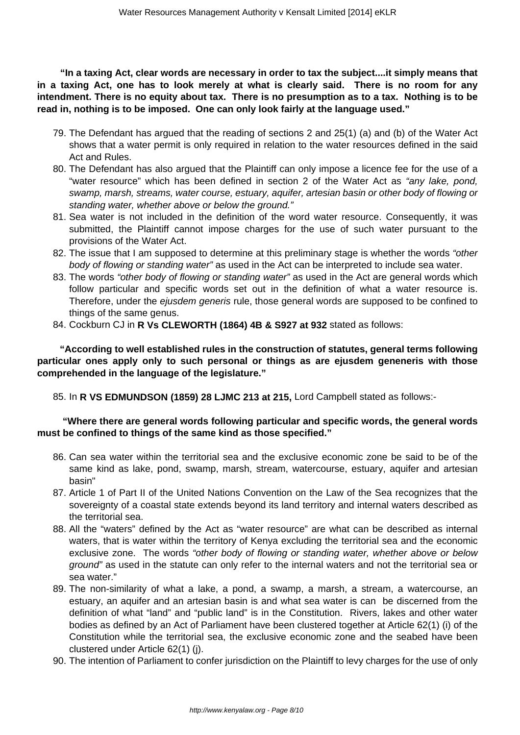**"In a taxing Act, clear words are necessary in order to tax the subject....it simply means that in a taxing Act, one has to look merely at what is clearly said. There is no room for any intendment. There is no equity about tax. There is no presumption as to a tax. Nothing is to be read in, nothing is to be imposed. One can only look fairly at the language used."**

- 79. The Defendant has argued that the reading of sections 2 and 25(1) (a) and (b) of the Water Act shows that a water permit is only required in relation to the water resources defined in the said Act and Rules.
- 80. The Defendant has also argued that the Plaintiff can only impose a licence fee for the use of a "water resource" which has been defined in section 2 of the Water Act as "any lake, pond, swamp, marsh, streams, water course, estuary, aquifer, artesian basin or other body of flowing or standing water, whether above or below the ground."
- 81. Sea water is not included in the definition of the word water resource. Consequently, it was submitted, the Plaintiff cannot impose charges for the use of such water pursuant to the provisions of the Water Act.
- 82. The issue that I am supposed to determine at this preliminary stage is whether the words "other body of flowing or standing water" as used in the Act can be interpreted to include sea water.
- 83. The words "other body of flowing or standing water" as used in the Act are general words which follow particular and specific words set out in the definition of what a water resource is. Therefore, under the *ejusdem generis* rule, those general words are supposed to be confined to things of the same genus.
- 84. Cockburn CJ in **R Vs CLEWORTH (1864) 4B & S927 at 932** stated as follows:

 **"According to well established rules in the construction of statutes, general terms following particular ones apply only to such personal or things as are ejusdem geneneris with those comprehended in the language of the legislature."**

85. In **R VS EDMUNDSON (1859) 28 LJMC 213 at 215,** Lord Campbell stated as follows:-

# **"Where there are general words following particular and specific words, the general words must be confined to things of the same kind as those specified."**

- 86. Can sea water within the territorial sea and the exclusive economic zone be said to be of the same kind as lake, pond, swamp, marsh, stream, watercourse, estuary, aquifer and artesian basin"
- 87. Article 1 of Part II of the United Nations Convention on the Law of the Sea recognizes that the sovereignty of a coastal state extends beyond its land territory and internal waters described as the territorial sea.
- 88. All the "waters" defined by the Act as "water resource" are what can be described as internal waters, that is water within the territory of Kenya excluding the territorial sea and the economic exclusive zone. The words "other body of flowing or standing water, whether above or below ground" as used in the statute can only refer to the internal waters and not the territorial sea or sea water."
- 89. The non-similarity of what a lake, a pond, a swamp, a marsh, a stream, a watercourse, an estuary, an aquifer and an artesian basin is and what sea water is can be discerned from the definition of what "land" and "public land" is in the Constitution. Rivers, lakes and other water bodies as defined by an Act of Parliament have been clustered together at Article 62(1) (i) of the Constitution while the territorial sea, the exclusive economic zone and the seabed have been clustered under Article 62(1) (j).
- 90. The intention of Parliament to confer jurisdiction on the Plaintiff to levy charges for the use of only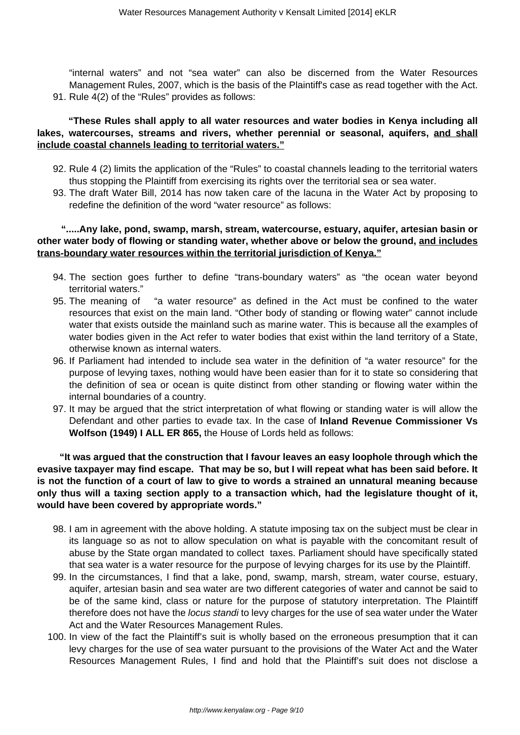"internal waters" and not "sea water" can also be discerned from the Water Resources Management Rules, 2007, which is the basis of the Plaintiff's case as read together with the Act. 91. Rule 4(2) of the "Rules" provides as follows:

# **"These Rules shall apply to all water resources and water bodies in Kenya including all lakes, watercourses, streams and rivers, whether perennial or seasonal, aquifers, and shall include coastal channels leading to territorial waters."**

- 92. Rule 4 (2) limits the application of the "Rules" to coastal channels leading to the territorial waters thus stopping the Plaintiff from exercising its rights over the territorial sea or sea water.
- 93. The draft Water Bill, 2014 has now taken care of the lacuna in the Water Act by proposing to redefine the definition of the word "water resource" as follows:

# **".....Any lake, pond, swamp, marsh, stream, watercourse, estuary, aquifer, artesian basin or other water body of flowing or standing water, whether above or below the ground, and includes trans-boundary water resources within the territorial jurisdiction of Kenya."**

- 94. The section goes further to define "trans-boundary waters" as "the ocean water beyond territorial waters."
- 95. The meaning of "a water resource" as defined in the Act must be confined to the water resources that exist on the main land. "Other body of standing or flowing water" cannot include water that exists outside the mainland such as marine water. This is because all the examples of water bodies given in the Act refer to water bodies that exist within the land territory of a State, otherwise known as internal waters.
- 96. If Parliament had intended to include sea water in the definition of "a water resource" for the purpose of levying taxes, nothing would have been easier than for it to state so considering that the definition of sea or ocean is quite distinct from other standing or flowing water within the internal boundaries of a country.
- 97. It may be argued that the strict interpretation of what flowing or standing water is will allow the Defendant and other parties to evade tax. In the case of **Inland Revenue Commissioner Vs Wolfson (1949) I ALL ER 865,** the House of Lords held as follows:

 **"It was argued that the construction that I favour leaves an easy loophole through which the evasive taxpayer may find escape. That may be so, but I will repeat what has been said before. It is not the function of a court of law to give to words a strained an unnatural meaning because only thus will a taxing section apply to a transaction which, had the legislature thought of it, would have been covered by appropriate words."**

- 98. I am in agreement with the above holding. A statute imposing tax on the subject must be clear in its language so as not to allow speculation on what is payable with the concomitant result of abuse by the State organ mandated to collect taxes. Parliament should have specifically stated that sea water is a water resource for the purpose of levying charges for its use by the Plaintiff.
- 99. In the circumstances, I find that a lake, pond, swamp, marsh, stream, water course, estuary, aquifer, artesian basin and sea water are two different categories of water and cannot be said to be of the same kind, class or nature for the purpose of statutory interpretation. The Plaintiff therefore does not have the locus standi to levy charges for the use of sea water under the Water Act and the Water Resources Management Rules.
- 100. In view of the fact the Plaintiff's suit is wholly based on the erroneous presumption that it can levy charges for the use of sea water pursuant to the provisions of the Water Act and the Water Resources Management Rules, I find and hold that the Plaintiff's suit does not disclose a